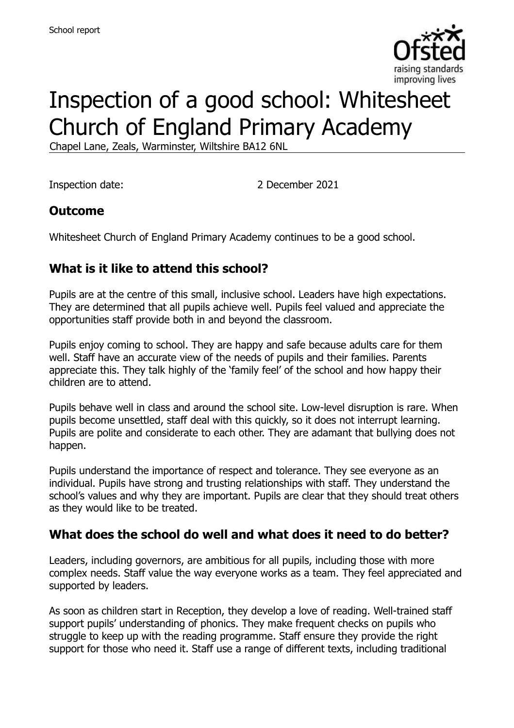

# Inspection of a good school: Whitesheet Church of England Primary Academy

Chapel Lane, Zeals, Warminster, Wiltshire BA12 6NL

Inspection date: 2 December 2021

## **Outcome**

Whitesheet Church of England Primary Academy continues to be a good school.

# **What is it like to attend this school?**

Pupils are at the centre of this small, inclusive school. Leaders have high expectations. They are determined that all pupils achieve well. Pupils feel valued and appreciate the opportunities staff provide both in and beyond the classroom.

Pupils enjoy coming to school. They are happy and safe because adults care for them well. Staff have an accurate view of the needs of pupils and their families. Parents appreciate this. They talk highly of the 'family feel' of the school and how happy their children are to attend.

Pupils behave well in class and around the school site. Low-level disruption is rare. When pupils become unsettled, staff deal with this quickly, so it does not interrupt learning. Pupils are polite and considerate to each other. They are adamant that bullying does not happen.

Pupils understand the importance of respect and tolerance. They see everyone as an individual. Pupils have strong and trusting relationships with staff. They understand the school's values and why they are important. Pupils are clear that they should treat others as they would like to be treated.

## **What does the school do well and what does it need to do better?**

Leaders, including governors, are ambitious for all pupils, including those with more complex needs. Staff value the way everyone works as a team. They feel appreciated and supported by leaders.

As soon as children start in Reception, they develop a love of reading. Well-trained staff support pupils' understanding of phonics. They make frequent checks on pupils who struggle to keep up with the reading programme. Staff ensure they provide the right support for those who need it. Staff use a range of different texts, including traditional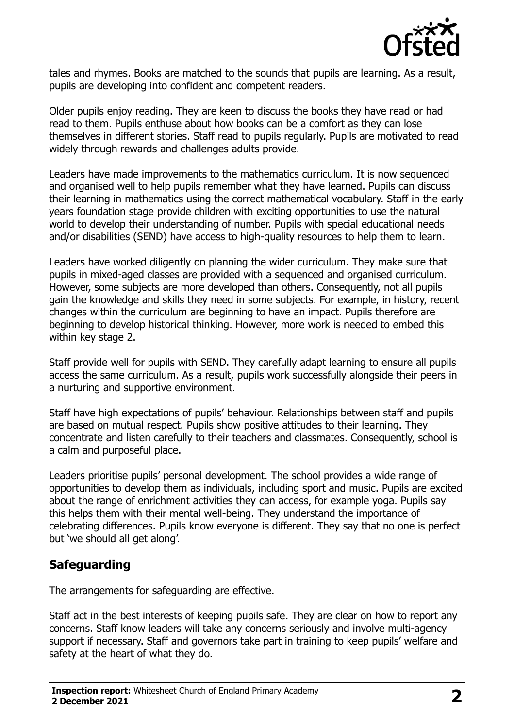

tales and rhymes. Books are matched to the sounds that pupils are learning. As a result, pupils are developing into confident and competent readers.

Older pupils enjoy reading. They are keen to discuss the books they have read or had read to them. Pupils enthuse about how books can be a comfort as they can lose themselves in different stories. Staff read to pupils regularly. Pupils are motivated to read widely through rewards and challenges adults provide.

Leaders have made improvements to the mathematics curriculum. It is now sequenced and organised well to help pupils remember what they have learned. Pupils can discuss their learning in mathematics using the correct mathematical vocabulary. Staff in the early years foundation stage provide children with exciting opportunities to use the natural world to develop their understanding of number. Pupils with special educational needs and/or disabilities (SEND) have access to high-quality resources to help them to learn.

Leaders have worked diligently on planning the wider curriculum. They make sure that pupils in mixed-aged classes are provided with a sequenced and organised curriculum. However, some subjects are more developed than others. Consequently, not all pupils gain the knowledge and skills they need in some subjects. For example, in history, recent changes within the curriculum are beginning to have an impact. Pupils therefore are beginning to develop historical thinking. However, more work is needed to embed this within key stage 2.

Staff provide well for pupils with SEND. They carefully adapt learning to ensure all pupils access the same curriculum. As a result, pupils work successfully alongside their peers in a nurturing and supportive environment.

Staff have high expectations of pupils' behaviour. Relationships between staff and pupils are based on mutual respect. Pupils show positive attitudes to their learning. They concentrate and listen carefully to their teachers and classmates. Consequently, school is a calm and purposeful place.

Leaders prioritise pupils' personal development. The school provides a wide range of opportunities to develop them as individuals, including sport and music. Pupils are excited about the range of enrichment activities they can access, for example yoga. Pupils say this helps them with their mental well-being. They understand the importance of celebrating differences. Pupils know everyone is different. They say that no one is perfect but 'we should all get along'.

## **Safeguarding**

The arrangements for safeguarding are effective.

Staff act in the best interests of keeping pupils safe. They are clear on how to report any concerns. Staff know leaders will take any concerns seriously and involve multi-agency support if necessary. Staff and governors take part in training to keep pupils' welfare and safety at the heart of what they do.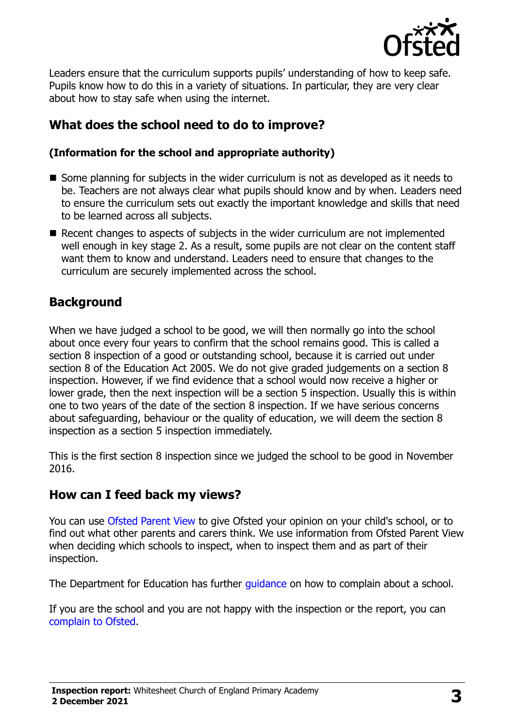

Leaders ensure that the curriculum supports pupils' understanding of how to keep safe. Pupils know how to do this in a variety of situations. In particular, they are very clear about how to stay safe when using the internet.

# **What does the school need to do to improve?**

#### **(Information for the school and appropriate authority)**

- $\blacksquare$  Some planning for subjects in the wider curriculum is not as developed as it needs to be. Teachers are not always clear what pupils should know and by when. Leaders need to ensure the curriculum sets out exactly the important knowledge and skills that need to be learned across all subjects.
- $\blacksquare$  Recent changes to aspects of subjects in the wider curriculum are not implemented well enough in key stage 2. As a result, some pupils are not clear on the content staff want them to know and understand. Leaders need to ensure that changes to the curriculum are securely implemented across the school.

## **Background**

When we have judged a school to be good, we will then normally go into the school about once every four years to confirm that the school remains good. This is called a section 8 inspection of a good or outstanding school, because it is carried out under section 8 of the Education Act 2005. We do not give graded judgements on a section 8 inspection. However, if we find evidence that a school would now receive a higher or lower grade, then the next inspection will be a section 5 inspection. Usually this is within one to two years of the date of the section 8 inspection. If we have serious concerns about safeguarding, behaviour or the quality of education, we will deem the section 8 inspection as a section 5 inspection immediately.

This is the first section 8 inspection since we judged the school to be good in November 2016.

## **How can I feed back my views?**

You can use [Ofsted Parent View](https://parentview.ofsted.gov.uk/) to give Ofsted your opinion on your child's school, or to find out what other parents and carers think. We use information from Ofsted Parent View when deciding which schools to inspect, when to inspect them and as part of their inspection.

The Department for Education has further quidance on how to complain about a school.

If you are the school and you are not happy with the inspection or the report, you can [complain to Ofsted.](https://www.gov.uk/complain-ofsted-report)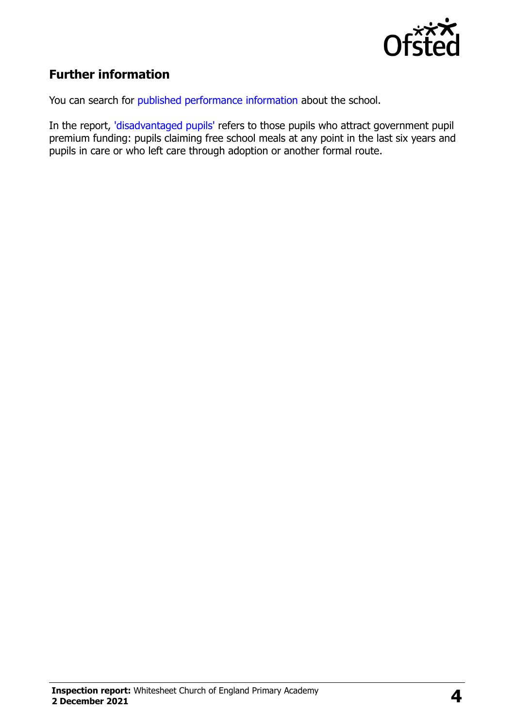

# **Further information**

You can search for [published performance information](http://www.compare-school-performance.service.gov.uk/) about the school.

In the report, ['disadvantaged pupils'](http://www.gov.uk/guidance/pupil-premium-information-for-schools-and-alternative-provision-settings) refers to those pupils who attract government pupil premium funding: pupils claiming free school meals at any point in the last six years and pupils in care or who left care through adoption or another formal route.

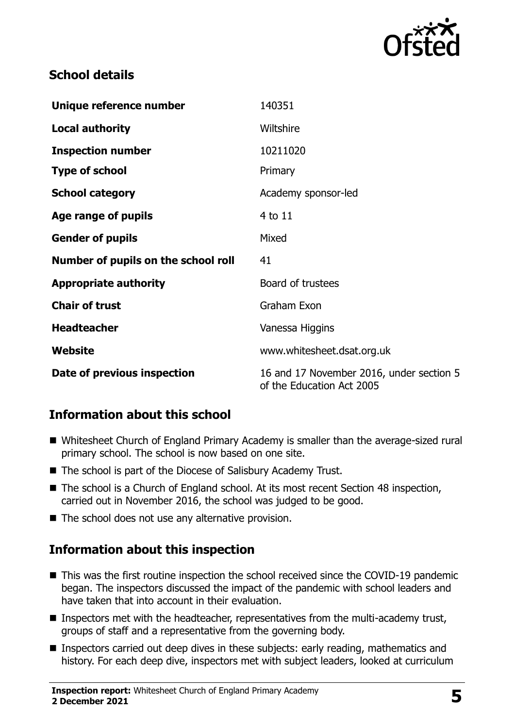

# **School details**

| Unique reference number             | 140351                                                                |
|-------------------------------------|-----------------------------------------------------------------------|
| <b>Local authority</b>              | Wiltshire                                                             |
| <b>Inspection number</b>            | 10211020                                                              |
| <b>Type of school</b>               | Primary                                                               |
| <b>School category</b>              | Academy sponsor-led                                                   |
| Age range of pupils                 | 4 to 11                                                               |
| <b>Gender of pupils</b>             | Mixed                                                                 |
| Number of pupils on the school roll | 41                                                                    |
| <b>Appropriate authority</b>        | Board of trustees                                                     |
| <b>Chair of trust</b>               | Graham Exon                                                           |
| <b>Headteacher</b>                  | Vanessa Higgins                                                       |
| Website                             | www.whitesheet.dsat.org.uk                                            |
| Date of previous inspection         | 16 and 17 November 2016, under section 5<br>of the Education Act 2005 |

# **Information about this school**

- Whitesheet Church of England Primary Academy is smaller than the average-sized rural primary school. The school is now based on one site.
- The school is part of the Diocese of Salisbury Academy Trust.
- The school is a Church of England school. At its most recent Section 48 inspection, carried out in November 2016, the school was judged to be good.
- The school does not use any alternative provision.

## **Information about this inspection**

- This was the first routine inspection the school received since the COVID-19 pandemic began. The inspectors discussed the impact of the pandemic with school leaders and have taken that into account in their evaluation.
- Inspectors met with the headteacher, representatives from the multi-academy trust, groups of staff and a representative from the governing body.
- Inspectors carried out deep dives in these subjects: early reading, mathematics and history. For each deep dive, inspectors met with subject leaders, looked at curriculum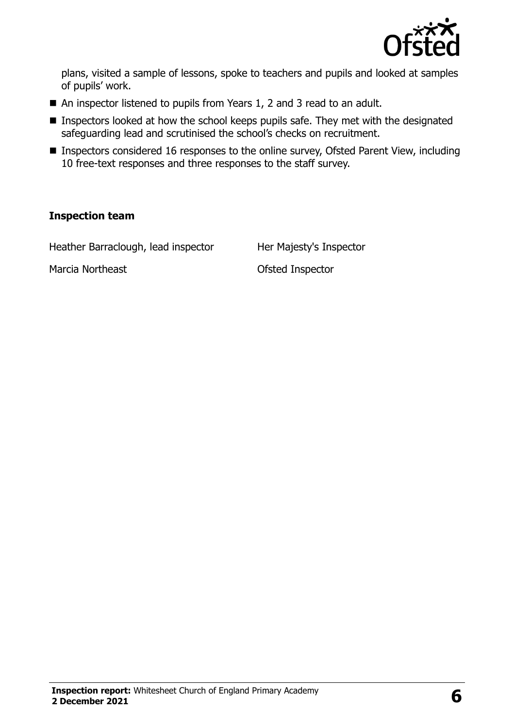

plans, visited a sample of lessons, spoke to teachers and pupils and looked at samples of pupils' work.

- An inspector listened to pupils from Years 1, 2 and 3 read to an adult.
- Inspectors looked at how the school keeps pupils safe. They met with the designated safeguarding lead and scrutinised the school's checks on recruitment.
- Inspectors considered 16 responses to the online survey, Ofsted Parent View, including 10 free-text responses and three responses to the staff survey.

#### **Inspection team**

Heather Barraclough, lead inspector Her Majesty's Inspector

Marcia Northeast **Marcia Northeast Constanting Constanting Ofsted Inspector**